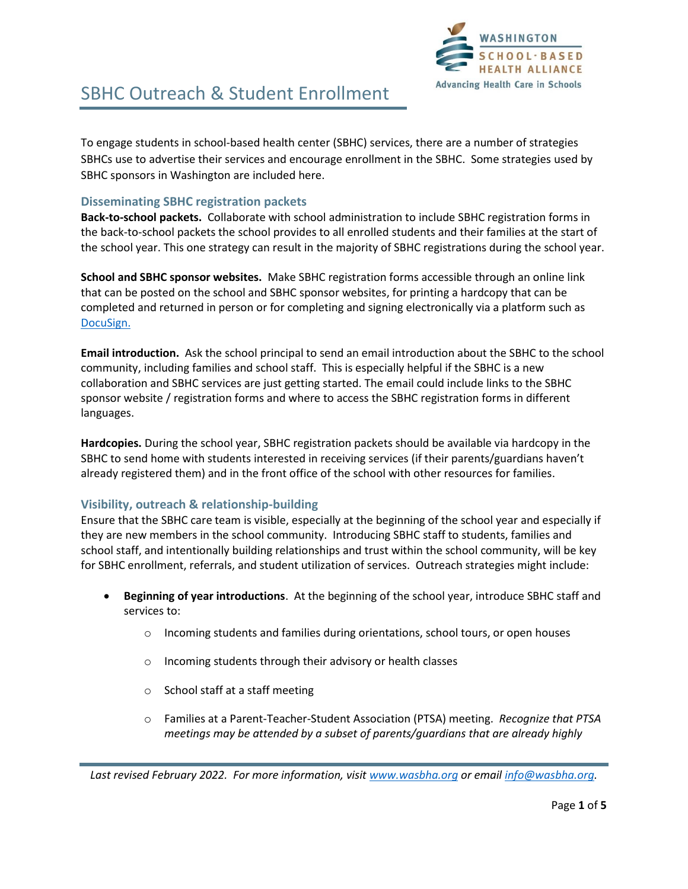

To engage students in school-based health center (SBHC) services, there are a number of strategies SBHCs use to advertise their services and encourage enrollment in the SBHC. Some strategies used by SBHC sponsors in Washington are included here.

#### **Disseminating SBHC registration packets**

**Back-to-school packets.** Collaborate with school administration to include SBHC registration forms in the back-to-school packets the school provides to all enrolled students and their families at the start of the school year. This one strategy can result in the majority of SBHC registrations during the school year.

**School and SBHC sponsor websites.** Make SBHC registration forms accessible through an online link that can be posted on the school and SBHC sponsor websites, for printing a hardcopy that can be completed and returned in person or for completing and signing electronically via a platform such as [DocuSign.](https://www.docusign.com/products/electronic-signature/how-docusign-works?utm_source=bing&utm_medium=cpc&utm_term=DocuSign&utm_content=sitelink&sitelink=how_esigning_works&msclkid=adecde04a1f61e96272e819798af1537)

**Email introduction.** Ask the school principal to send an email introduction about the SBHC to the school community, including families and school staff. This is especially helpful if the SBHC is a new collaboration and SBHC services are just getting started. The email could include links to the SBHC sponsor website / registration forms and where to access the SBHC registration forms in different languages.

**Hardcopies.** During the school year, SBHC registration packets should be available via hardcopy in the SBHC to send home with students interested in receiving services (if their parents/guardians haven't already registered them) and in the front office of the school with other resources for families.

### **Visibility, outreach & relationship-building**

Ensure that the SBHC care team is visible, especially at the beginning of the school year and especially if they are new members in the school community. Introducing SBHC staff to students, families and school staff, and intentionally building relationships and trust within the school community, will be key for SBHC enrollment, referrals, and student utilization of services. Outreach strategies might include:

- **Beginning of year introductions**. At the beginning of the school year, introduce SBHC staff and services to:
	- $\circ$  Incoming students and families during orientations, school tours, or open houses
	- o Incoming students through their advisory or health classes
	- o School staff at a staff meeting
	- o Families at a Parent-Teacher-Student Association (PTSA) meeting. *Recognize that PTSA meetings may be attended by a subset of parents/guardians that are already highly*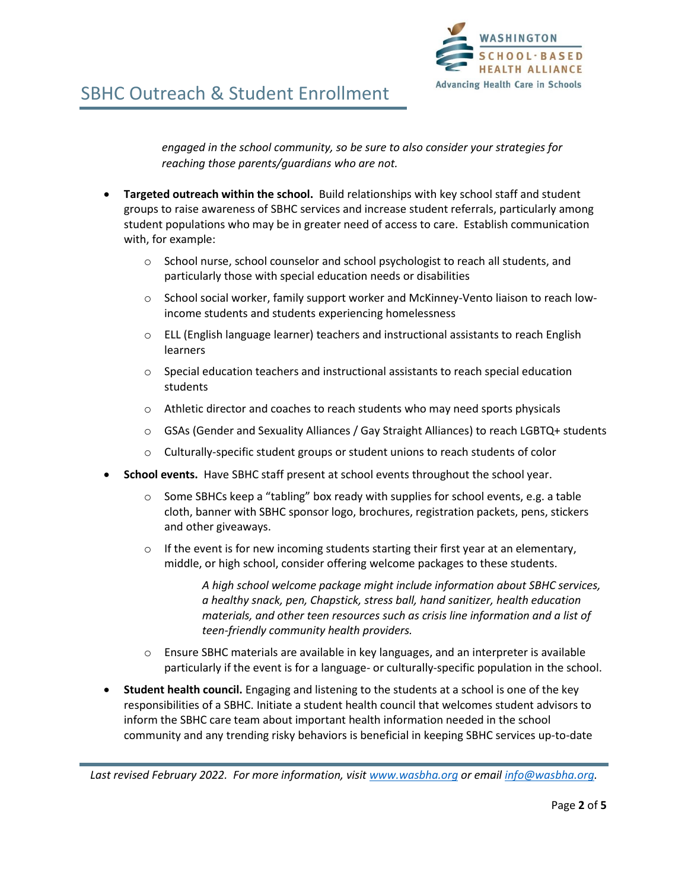

*engaged in the school community, so be sure to also consider your strategies for reaching those parents/guardians who are not.* 

- **Targeted outreach within the school.** Build relationships with key school staff and student groups to raise awareness of SBHC services and increase student referrals, particularly among student populations who may be in greater need of access to care. Establish communication with, for example:
	- $\circ$  School nurse, school counselor and school psychologist to reach all students, and particularly those with special education needs or disabilities
	- $\circ$  School social worker, family support worker and McKinney-Vento liaison to reach lowincome students and students experiencing homelessness
	- $\circ$  ELL (English language learner) teachers and instructional assistants to reach English learners
	- $\circ$  Special education teachers and instructional assistants to reach special education students
	- $\circ$  Athletic director and coaches to reach students who may need sports physicals
	- o GSAs (Gender and Sexuality Alliances / Gay Straight Alliances) to reach LGBTQ+ students
	- $\circ$  Culturally-specific student groups or student unions to reach students of color
- **School events.** Have SBHC staff present at school events throughout the school year.
	- $\circ$  Some SBHCs keep a "tabling" box ready with supplies for school events, e.g. a table cloth, banner with SBHC sponsor logo, brochures, registration packets, pens, stickers and other giveaways.
	- $\circ$  If the event is for new incoming students starting their first year at an elementary, middle, or high school, consider offering welcome packages to these students.

*A high school welcome package might include information about SBHC services, a healthy snack, pen, Chapstick, stress ball, hand sanitizer, health education materials, and other teen resources such as crisis line information and a list of teen-friendly community health providers.* 

- $\circ$  Ensure SBHC materials are available in key languages, and an interpreter is available particularly if the event is for a language- or culturally-specific population in the school.
- **Student health council.** Engaging and listening to the students at a school is one of the key responsibilities of a SBHC. Initiate a student health council that welcomes student advisors to inform the SBHC care team about important health information needed in the school community and any trending risky behaviors is beneficial in keeping SBHC services up-to-date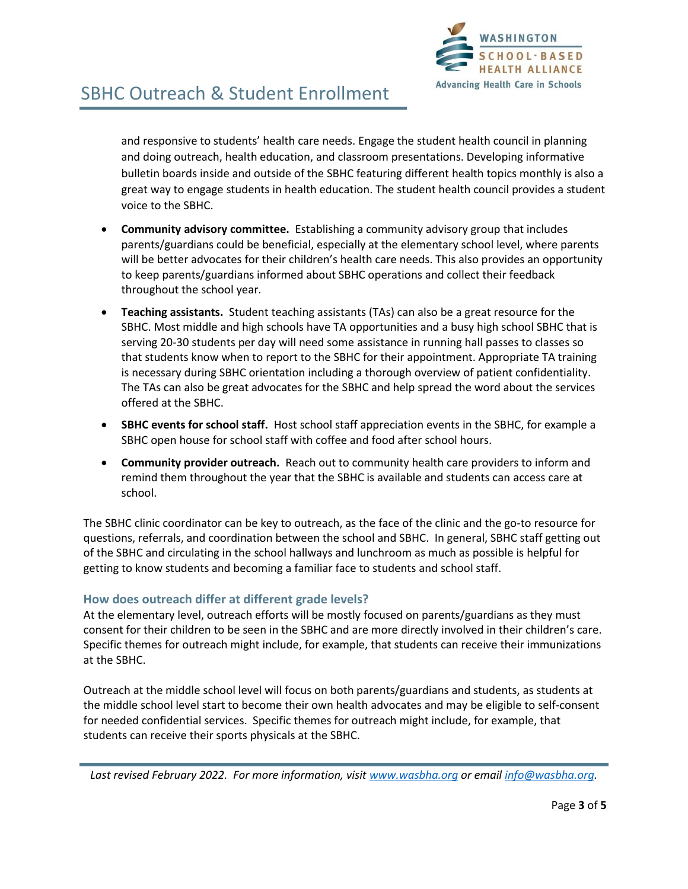

and responsive to students' health care needs. Engage the student health council in planning and doing outreach, health education, and classroom presentations. Developing informative bulletin boards inside and outside of the SBHC featuring different health topics monthly is also a great way to engage students in health education. The student health council provides a student voice to the SBHC.

- **Community advisory committee.** Establishing a community advisory group that includes parents/guardians could be beneficial, especially at the elementary school level, where parents will be better advocates for their children's health care needs. This also provides an opportunity to keep parents/guardians informed about SBHC operations and collect their feedback throughout the school year.
- **Teaching assistants.** Student teaching assistants (TAs) can also be a great resource for the SBHC. Most middle and high schools have TA opportunities and a busy high school SBHC that is serving 20-30 students per day will need some assistance in running hall passes to classes so that students know when to report to the SBHC for their appointment. Appropriate TA training is necessary during SBHC orientation including a thorough overview of patient confidentiality. The TAs can also be great advocates for the SBHC and help spread the word about the services offered at the SBHC.
- **SBHC events for school staff.** Host school staff appreciation events in the SBHC, for example a SBHC open house for school staff with coffee and food after school hours.
- **Community provider outreach.** Reach out to community health care providers to inform and remind them throughout the year that the SBHC is available and students can access care at school.

The SBHC clinic coordinator can be key to outreach, as the face of the clinic and the go-to resource for questions, referrals, and coordination between the school and SBHC. In general, SBHC staff getting out of the SBHC and circulating in the school hallways and lunchroom as much as possible is helpful for getting to know students and becoming a familiar face to students and school staff.

### **How does outreach differ at different grade levels?**

At the elementary level, outreach efforts will be mostly focused on parents/guardians as they must consent for their children to be seen in the SBHC and are more directly involved in their children's care. Specific themes for outreach might include, for example, that students can receive their immunizations at the SBHC.

Outreach at the middle school level will focus on both parents/guardians and students, as students at the middle school level start to become their own health advocates and may be eligible to self-consent for needed confidential services. Specific themes for outreach might include, for example, that students can receive their sports physicals at the SBHC.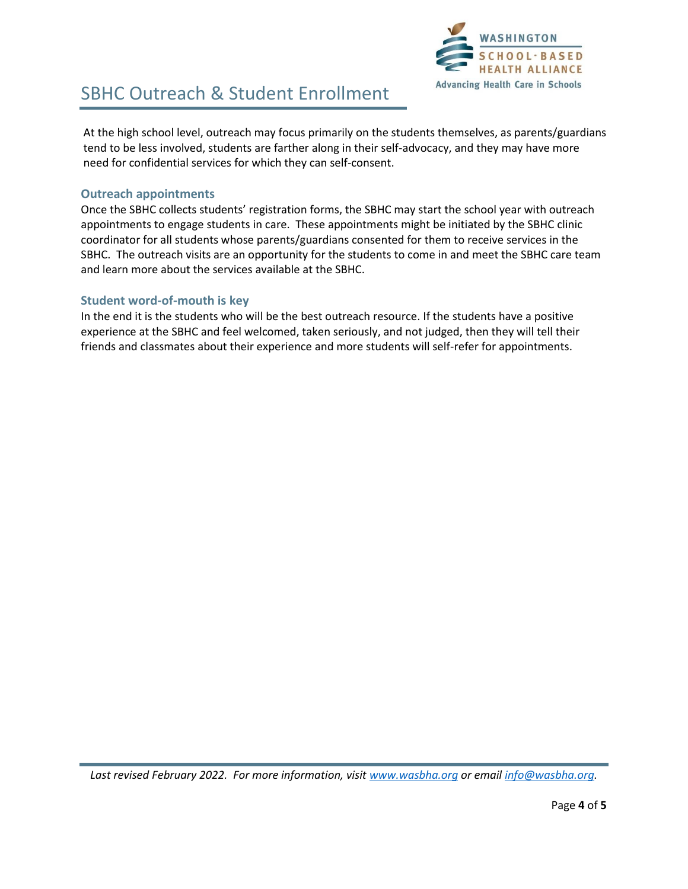

At the high school level, outreach may focus primarily on the students themselves, as parents/guardians tend to be less involved, students are farther along in their self-advocacy, and they may have more need for confidential services for which they can self-consent.

#### **Outreach appointments**

Once the SBHC collects students' registration forms, the SBHC may start the school year with outreach appointments to engage students in care. These appointments might be initiated by the SBHC clinic coordinator for all students whose parents/guardians consented for them to receive services in the SBHC. The outreach visits are an opportunity for the students to come in and meet the SBHC care team and learn more about the services available at the SBHC.

### **Student word-of-mouth is key**

In the end it is the students who will be the best outreach resource. If the students have a positive experience at the SBHC and feel welcomed, taken seriously, and not judged, then they will tell their friends and classmates about their experience and more students will self-refer for appointments.